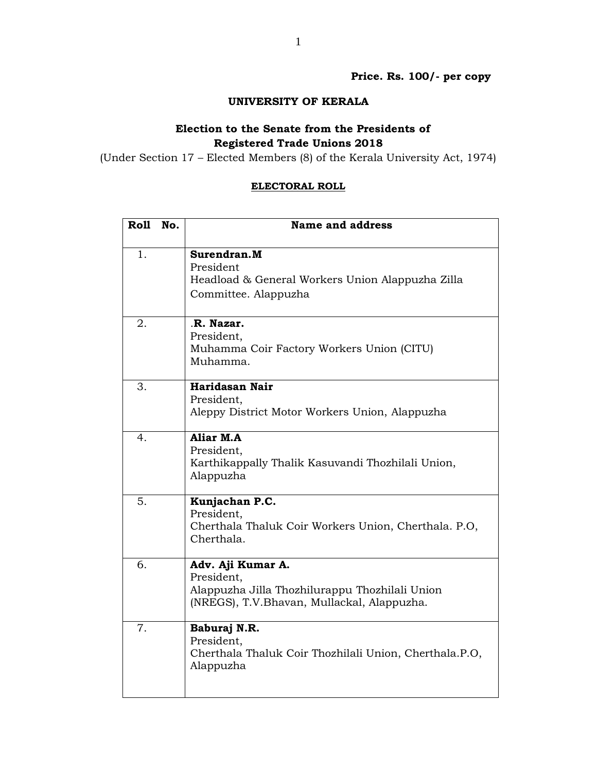**Price. Rs. 100/- per copy** 

## **UNIVERSITY OF KERALA**

## **Election to the Senate from the Presidents of Registered Trade Unions 2018**

(Under Section 17 – Elected Members (8) of the Kerala University Act, 1974)

## **ELECTORAL ROLL**

| Roll | No. | <b>Name and address</b>                                                                                                         |
|------|-----|---------------------------------------------------------------------------------------------------------------------------------|
| 1.   |     | Surendran.M<br>President<br>Headload & General Workers Union Alappuzha Zilla<br>Committee. Alappuzha                            |
| 2.   |     | R. Nazar.<br>President,<br>Muhamma Coir Factory Workers Union (CITU)<br>Muhamma.                                                |
| 3.   |     | Haridasan Nair<br>President,<br>Aleppy District Motor Workers Union, Alappuzha                                                  |
| 4.   |     | Aliar M.A<br>President,<br>Karthikappally Thalik Kasuvandi Thozhilali Union,<br>Alappuzha                                       |
| 5.   |     | Kunjachan P.C.<br>President,<br>Cherthala Thaluk Coir Workers Union, Cherthala. P.O.<br>Cherthala.                              |
| 6.   |     | Adv. Aji Kumar A.<br>President,<br>Alappuzha Jilla Thozhilurappu Thozhilali Union<br>(NREGS), T.V.Bhavan, Mullackal, Alappuzha. |
| 7.   |     | Baburaj N.R.<br>President,<br>Cherthala Thaluk Coir Thozhilali Union, Cherthala.P.O,<br>Alappuzha                               |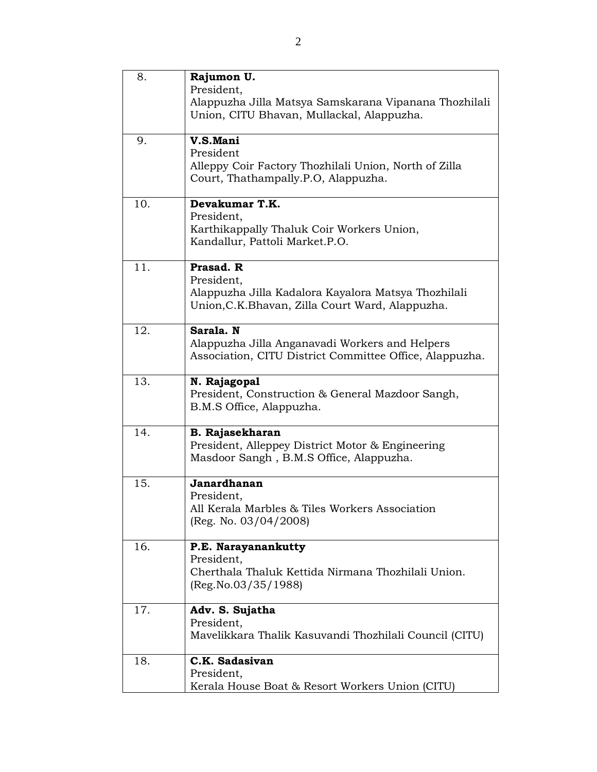| 8.  | Rajumon U.<br>President,<br>Alappuzha Jilla Matsya Samskarana Vipanana Thozhilali<br>Union, CITU Bhavan, Mullackal, Alappuzha.     |
|-----|------------------------------------------------------------------------------------------------------------------------------------|
| 9.  | V.S.Mani<br>President<br>Alleppy Coir Factory Thozhilali Union, North of Zilla<br>Court, Thathampally.P.O, Alappuzha.              |
| 10. | Devakumar T.K.<br>President,<br>Karthikappally Thaluk Coir Workers Union,<br>Kandallur, Pattoli Market.P.O.                        |
| 11. | Prasad. R<br>President,<br>Alappuzha Jilla Kadalora Kayalora Matsya Thozhilali<br>Union, C.K. Bhavan, Zilla Court Ward, Alappuzha. |
| 12. | Sarala. N<br>Alappuzha Jilla Anganavadi Workers and Helpers<br>Association, CITU District Committee Office, Alappuzha.             |
| 13. | N. Rajagopal<br>President, Construction & General Mazdoor Sangh,<br>B.M.S Office, Alappuzha.                                       |
| 14. | <b>B. Rajasekharan</b><br>President, Alleppey District Motor & Engineering<br>Masdoor Sangh, B.M.S Office, Alappuzha.              |
| 15. | Janardhanan<br>President,<br>All Kerala Marbles & Tiles Workers Association<br>(Reg. No. $03/04/2008$ )                            |
| 16. | P.E. Narayanankutty<br>President,<br>Cherthala Thaluk Kettida Nirmana Thozhilali Union.<br>(Reg No.03/35/1988)                     |
| 17. | Adv. S. Sujatha<br>President,<br>Mavelikkara Thalik Kasuvandi Thozhilali Council (CITU)                                            |
| 18. | C.K. Sadasivan<br>President,<br>Kerala House Boat & Resort Workers Union (CITU)                                                    |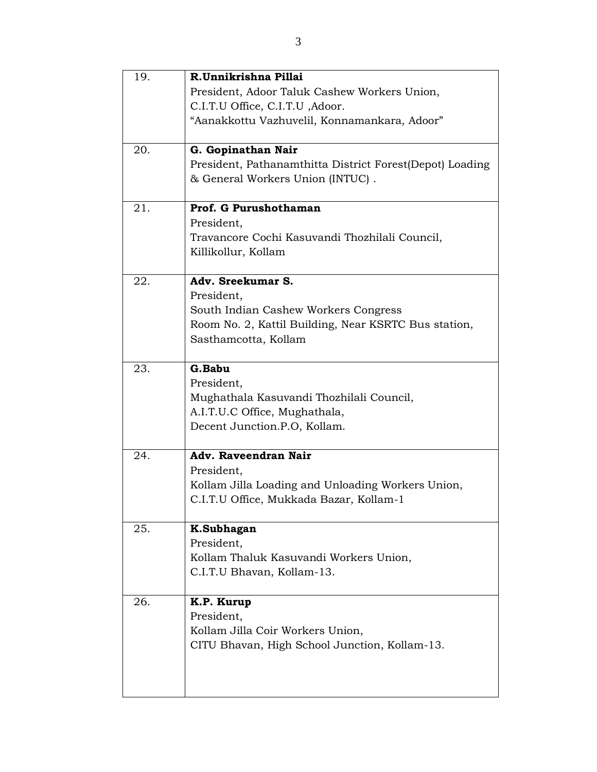| 19. | R.Unnikrishna Pillai                                      |
|-----|-----------------------------------------------------------|
|     | President, Adoor Taluk Cashew Workers Union,              |
|     | C.I.T.U Office, C.I.T.U , Adoor.                          |
|     | "Aanakkottu Vazhuvelil, Konnamankara, Adoor"              |
| 20. | G. Gopinathan Nair                                        |
|     | President, Pathanamthitta District Forest (Depot) Loading |
|     | & General Workers Union (INTUC).                          |
| 21. | Prof. G Purushothaman                                     |
|     | President,                                                |
|     | Travancore Cochi Kasuvandi Thozhilali Council,            |
|     | Killikollur, Kollam                                       |
| 22. | Adv. Sreekumar S.                                         |
|     | President,                                                |
|     | South Indian Cashew Workers Congress                      |
|     | Room No. 2, Kattil Building, Near KSRTC Bus station,      |
|     | Sasthamcotta, Kollam                                      |
|     |                                                           |
| 23. | G.Babu                                                    |
|     | President,                                                |
|     | Mughathala Kasuvandi Thozhilali Council,                  |
|     | A.I.T.U.C Office, Mughathala,                             |
|     | Decent Junction.P.O, Kollam.                              |
| 24. | Adv. Raveendran Nair                                      |
|     | President,                                                |
|     | Kollam Jilla Loading and Unloading Workers Union,         |
|     | C.I.T.U Office, Mukkada Bazar, Kollam-1                   |
|     |                                                           |
| 25. | K.Subhagan                                                |
|     | President,                                                |
|     | Kollam Thaluk Kasuvandi Workers Union,                    |
|     | C.I.T.U Bhavan, Kollam-13.                                |
|     |                                                           |
| 26. | K.P. Kurup                                                |
|     | President.                                                |
|     | Kollam Jilla Coir Workers Union,                          |
|     | CITU Bhavan, High School Junction, Kollam-13.             |
|     |                                                           |
|     |                                                           |
|     |                                                           |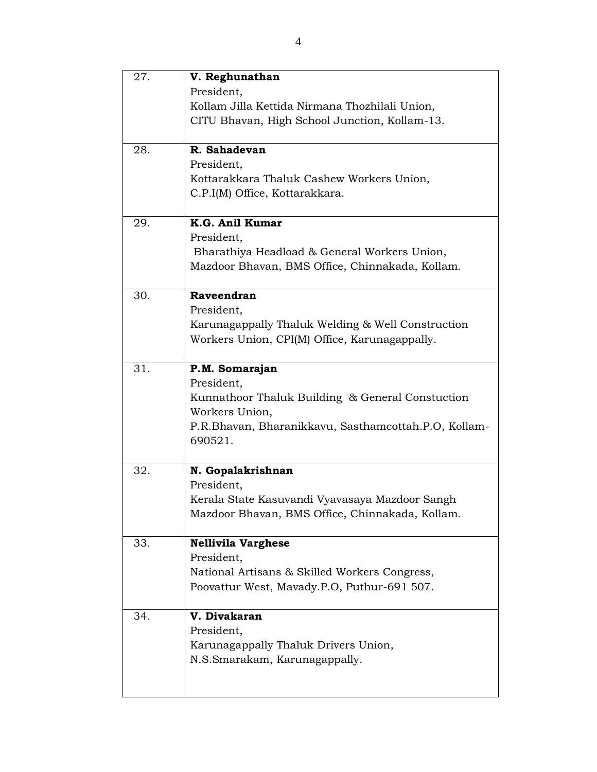| 27. | V. Reghunathan<br>President,                         |
|-----|------------------------------------------------------|
|     | Kollam Jilla Kettida Nirmana Thozhilali Union,       |
|     |                                                      |
|     | CITU Bhavan, High School Junction, Kollam-13.        |
| 28. | R. Sahadevan                                         |
|     | President,                                           |
|     | Kottarakkara Thaluk Cashew Workers Union,            |
|     | C.P.I(M) Office, Kottarakkara.                       |
| 29. | K.G. Anil Kumar                                      |
|     | President,                                           |
|     | Bharathiya Headload & General Workers Union,         |
|     | Mazdoor Bhavan, BMS Office, Chinnakada, Kollam.      |
|     |                                                      |
| 30. | Raveendran                                           |
|     | President,                                           |
|     | Karunagappally Thaluk Welding & Well Construction    |
|     | Workers Union, CPI(M) Office, Karunagappally.        |
| 31. | P.M. Somarajan                                       |
|     | President,                                           |
|     | Kunnathoor Thaluk Building & General Constuction     |
|     | Workers Union,                                       |
|     | P.R.Bhavan, Bharanikkavu, Sasthamcottah.P.O, Kollam- |
|     | 690521.                                              |
|     |                                                      |
| 32. | N. Gopalakrishnan                                    |
|     | President,                                           |
|     | Kerala State Kasuvandi Vyavasaya Mazdoor Sangh       |
|     | Mazdoor Bhavan, BMS Office, Chinnakada, Kollam.      |
| 33. | <b>Nellivila Varghese</b>                            |
|     | President,                                           |
|     | National Artisans & Skilled Workers Congress,        |
|     | Poovattur West, Mavady.P.O, Puthur-691 507.          |
|     |                                                      |
| 34. | V. Divakaran                                         |
|     | President,                                           |
|     | Karunagappally Thaluk Drivers Union,                 |
|     | N.S.Smarakam, Karunagappally.                        |
|     |                                                      |
|     |                                                      |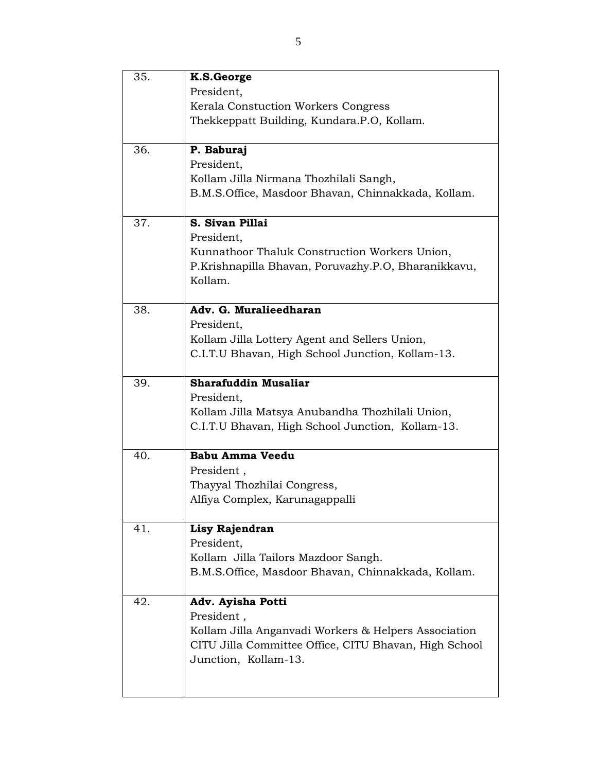| 35. | K.S.George                                            |
|-----|-------------------------------------------------------|
|     | President,                                            |
|     | Kerala Constuction Workers Congress                   |
|     | Thekkeppatt Building, Kundara.P.O, Kollam.            |
|     |                                                       |
| 36. | P. Baburaj                                            |
|     | President,                                            |
|     | Kollam Jilla Nirmana Thozhilali Sangh,                |
|     | B.M.S. Office, Masdoor Bhavan, Chinnakkada, Kollam.   |
|     |                                                       |
| 37. | S. Sivan Pillai                                       |
|     | President,                                            |
|     | Kunnathoor Thaluk Construction Workers Union,         |
|     | P.Krishnapilla Bhavan, Poruvazhy.P.O, Bharanikkavu,   |
|     | Kollam.                                               |
| 38. | Adv. G. Muralieedharan                                |
|     | President,                                            |
|     | Kollam Jilla Lottery Agent and Sellers Union,         |
|     | C.I.T.U Bhavan, High School Junction, Kollam-13.      |
|     |                                                       |
| 39. | <b>Sharafuddin Musaliar</b>                           |
|     | President,                                            |
|     | Kollam Jilla Matsya Anubandha Thozhilali Union,       |
|     | C.I.T.U Bhavan, High School Junction, Kollam-13.      |
|     |                                                       |
| 40. | <b>Babu Amma Veedu</b>                                |
|     | President,                                            |
|     | Thayyal Thozhilai Congress,                           |
|     | Alfiya Complex, Karunagappalli                        |
|     |                                                       |
| 41. | Lisy Rajendran                                        |
|     | President,                                            |
|     | Kollam Jilla Tailors Mazdoor Sangh.                   |
|     | B.M.S. Office, Masdoor Bhavan, Chinnakkada, Kollam.   |
| 42. | Adv. Ayisha Potti                                     |
|     | President,                                            |
|     | Kollam Jilla Anganvadi Workers & Helpers Association  |
|     | CITU Jilla Committee Office, CITU Bhavan, High School |
|     | Junction, Kollam-13.                                  |
|     |                                                       |
|     |                                                       |
|     |                                                       |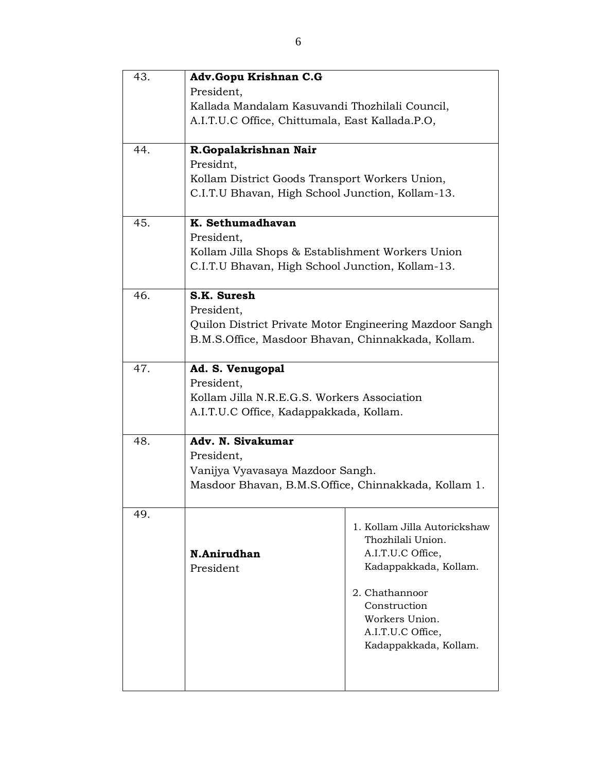| 43. | Adv.Gopu Krishnan C.G                                   |                              |
|-----|---------------------------------------------------------|------------------------------|
|     | President,                                              |                              |
|     | Kallada Mandalam Kasuvandi Thozhilali Council,          |                              |
|     | A.I.T.U.C Office, Chittumala, East Kallada.P.O,         |                              |
| 44. | R.Gopalakrishnan Nair<br>Presidnt,                      |                              |
|     | Kollam District Goods Transport Workers Union,          |                              |
|     | C.I.T.U Bhavan, High School Junction, Kollam-13.        |                              |
|     |                                                         |                              |
| 45. | K. Sethumadhavan                                        |                              |
|     | President,                                              |                              |
|     | Kollam Jilla Shops & Establishment Workers Union        |                              |
|     | C.I.T.U Bhavan, High School Junction, Kollam-13.        |                              |
| 46. | S.K. Suresh                                             |                              |
|     | President,                                              |                              |
|     | Quilon District Private Motor Engineering Mazdoor Sangh |                              |
|     | B.M.S.Office, Masdoor Bhavan, Chinnakkada, Kollam.      |                              |
|     |                                                         |                              |
| 47. | Ad. S. Venugopal                                        |                              |
|     | President,                                              |                              |
|     | Kollam Jilla N.R.E.G.S. Workers Association             |                              |
|     | A.I.T.U.C Office, Kadappakkada, Kollam.                 |                              |
| 48. | Adv. N. Sivakumar                                       |                              |
|     | President,                                              |                              |
|     | Vanijya Vyavasaya Mazdoor Sangh.                        |                              |
|     | Masdoor Bhavan, B.M.S.Office, Chinnakkada, Kollam 1.    |                              |
|     |                                                         |                              |
| 49. |                                                         | 1. Kollam Jilla Autorickshaw |
|     |                                                         | Thozhilali Union.            |
|     | N.Anirudhan                                             | A.I.T.U.C Office,            |
|     | President                                               | Kadappakkada, Kollam.        |
|     |                                                         | 2. Chathannoor               |
|     |                                                         | Construction                 |
|     |                                                         | Workers Union.               |
|     |                                                         | A.I.T.U.C Office,            |
|     |                                                         | Kadappakkada, Kollam.        |
|     |                                                         |                              |
|     |                                                         |                              |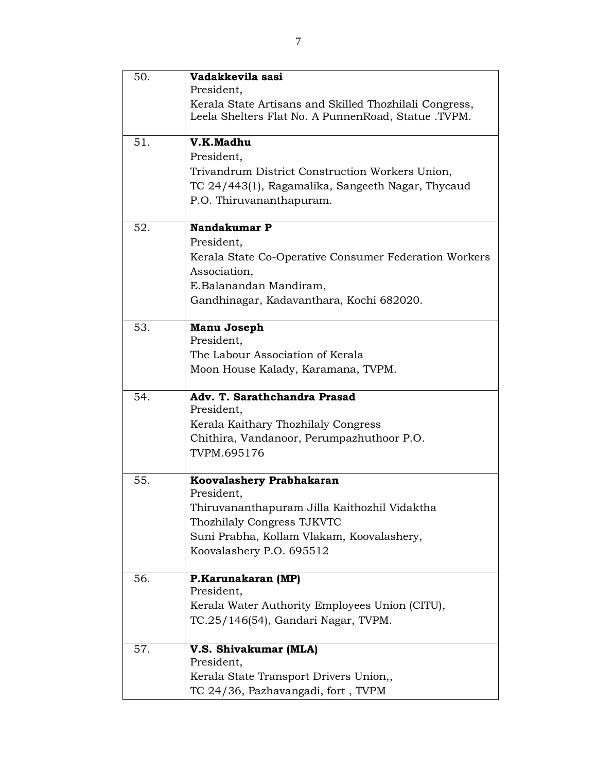| 50. | Vadakkevila sasi                                       |
|-----|--------------------------------------------------------|
|     | President,                                             |
|     | Kerala State Artisans and Skilled Thozhilali Congress, |
|     | Leela Shelters Flat No. A PunnenRoad, Statue .TVPM.    |
| 51. | V.K.Madhu                                              |
|     | President,                                             |
|     | Trivandrum District Construction Workers Union,        |
|     | TC 24/443(1), Ragamalika, Sangeeth Nagar, Thycaud      |
|     | P.O. Thiruvananthapuram.                               |
| 52. | Nandakumar P                                           |
|     | President,                                             |
|     | Kerala State Co-Operative Consumer Federation Workers  |
|     | Association,                                           |
|     | E.Balanandan Mandiram,                                 |
|     | Gandhinagar, Kadavanthara, Kochi 682020.               |
|     |                                                        |
| 53. | Manu Joseph                                            |
|     | President,                                             |
|     | The Labour Association of Kerala                       |
|     | Moon House Kalady, Karamana, TVPM.                     |
| 54. | Adv. T. Sarathchandra Prasad                           |
|     | President,                                             |
|     | Kerala Kaithary Thozhilaly Congress                    |
|     | Chithira, Vandanoor, Perumpazhuthoor P.O.              |
|     | TVPM.695176                                            |
| 55. | Koovalashery Prabhakaran                               |
|     | President,                                             |
|     | Thiruvananthapuram Jilla Kaithozhil Vidaktha           |
|     | Thozhilaly Congress TJKVTC                             |
|     | Suni Prabha, Kollam Vlakam, Koovalashery,              |
|     | Koovalashery P.O. 695512                               |
| 56. | P.Karunakaran (MP)                                     |
|     | President,                                             |
|     | Kerala Water Authority Employees Union (CITU),         |
|     | TC.25/146(54), Gandari Nagar, TVPM.                    |
| 57. | V.S. Shivakumar (MLA)                                  |
|     | President,                                             |
|     | Kerala State Transport Drivers Union,,                 |
|     | TC 24/36, Pazhavangadi, fort, TVPM                     |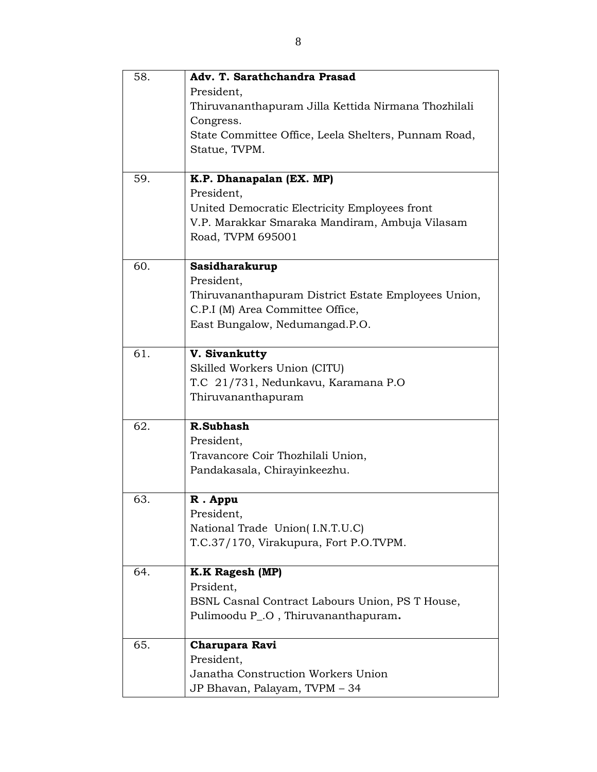| 58. | Adv. T. Sarathchandra Prasad<br>President,<br>Thiruvananthapuram Jilla Kettida Nirmana Thozhilali<br>Congress.<br>State Committee Office, Leela Shelters, Punnam Road,<br>Statue, TVPM. |
|-----|-----------------------------------------------------------------------------------------------------------------------------------------------------------------------------------------|
| 59. | K.P. Dhanapalan (EX. MP)<br>President.<br>United Democratic Electricity Employees front<br>V.P. Marakkar Smaraka Mandiram, Ambuja Vilasam<br>Road, TVPM 695001                          |
| 60. | Sasidharakurup<br>President,<br>Thiruvananthapuram District Estate Employees Union,<br>C.P.I (M) Area Committee Office,<br>East Bungalow, Nedumangad.P.O.                               |
| 61. | V. Sivankutty<br>Skilled Workers Union (CITU)<br>T.C 21/731, Nedunkavu, Karamana P.O<br>Thiruvananthapuram                                                                              |
| 62. | R.Subhash<br>President,<br>Travancore Coir Thozhilali Union,<br>Pandakasala, Chirayinkeezhu.                                                                                            |
| 63. | R. Appu<br>President,<br>National Trade Union(I.N.T.U.C)<br>T.C.37/170, Virakupura, Fort P.O.TVPM.                                                                                      |
| 64. | <b>K.K Ragesh (MP)</b><br>Prsident,<br>BSNL Casnal Contract Labours Union, PS T House,<br>Pulimoodu P_.O, Thiruvananthapuram.                                                           |
| 65. | Charupara Ravi<br>President,<br>Janatha Construction Workers Union<br>JP Bhavan, Palayam, TVPM - 34                                                                                     |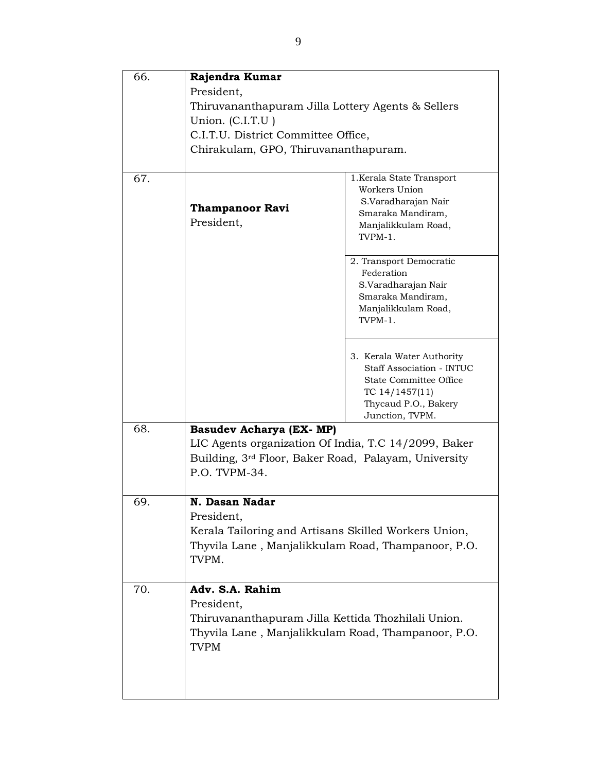| 66. | Rajendra Kumar                                                        |                                          |
|-----|-----------------------------------------------------------------------|------------------------------------------|
|     | President,                                                            |                                          |
|     | Thiruvananthapuram Jilla Lottery Agents & Sellers                     |                                          |
|     | Union. (C.I.T.U)                                                      |                                          |
|     | C.I.T.U. District Committee Office,                                   |                                          |
|     | Chirakulam, GPO, Thiruvananthapuram.                                  |                                          |
|     |                                                                       |                                          |
| 67. |                                                                       | 1. Kerala State Transport                |
|     |                                                                       | Workers Union                            |
|     | <b>Thampanoor Ravi</b>                                                | S.Varadharajan Nair                      |
|     | President,                                                            | Smaraka Mandiram,<br>Manjalikkulam Road, |
|     |                                                                       | TVPM-1.                                  |
|     |                                                                       |                                          |
|     |                                                                       | 2. Transport Democratic                  |
|     |                                                                       | Federation                               |
|     |                                                                       | S.Varadharajan Nair<br>Smaraka Mandiram, |
|     |                                                                       | Manjalikkulam Road,                      |
|     |                                                                       | TVPM-1.                                  |
|     |                                                                       |                                          |
|     |                                                                       | 3. Kerala Water Authority                |
|     |                                                                       | <b>Staff Association - INTUC</b>         |
|     |                                                                       | State Committee Office                   |
|     |                                                                       | TC $14/1457(11)$                         |
|     |                                                                       | Thycaud P.O., Bakery                     |
|     |                                                                       | Junction, TVPM.                          |
| 68. | <b>Basudev Acharya (EX- MP)</b>                                       |                                          |
|     | LIC Agents organization Of India, T.C 14/2099, Baker                  |                                          |
|     | Building, 3rd Floor, Baker Road, Palayam, University<br>P.O. TVPM-34. |                                          |
|     |                                                                       |                                          |
| 69. | N. Dasan Nadar                                                        |                                          |
|     | President,                                                            |                                          |
|     | Kerala Tailoring and Artisans Skilled Workers Union,                  |                                          |
|     | Thyvila Lane, Manjalikkulam Road, Thampanoor, P.O.                    |                                          |
|     | TVPM.                                                                 |                                          |
|     |                                                                       |                                          |
| 70. | Adv. S.A. Rahim                                                       |                                          |
|     | President,                                                            |                                          |
|     | Thiruvananthapuram Jilla Kettida Thozhilali Union.                    |                                          |
|     | Thyvila Lane, Manjalikkulam Road, Thampanoor, P.O.                    |                                          |
|     | <b>TVPM</b>                                                           |                                          |
|     |                                                                       |                                          |
|     |                                                                       |                                          |
|     |                                                                       |                                          |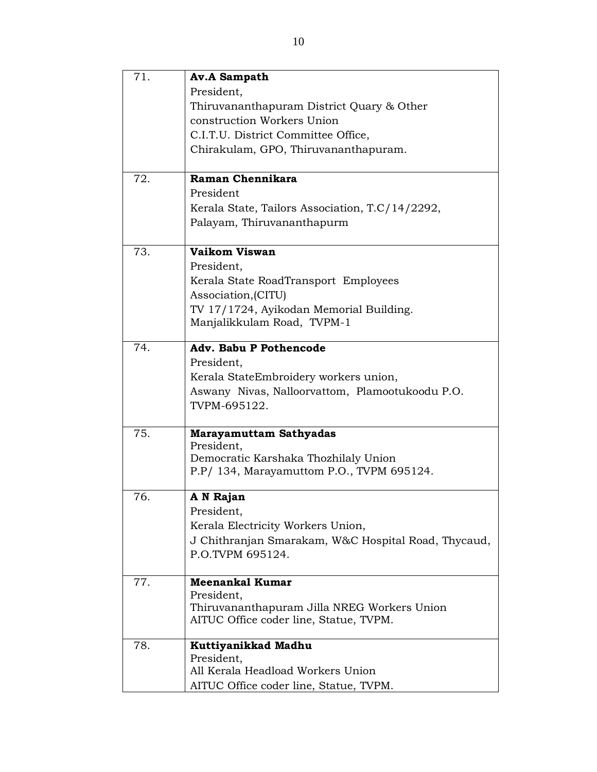| 71. | <b>Av.A Sampath</b>                                 |
|-----|-----------------------------------------------------|
|     | President,                                          |
|     | Thiruvananthapuram District Quary & Other           |
|     | construction Workers Union                          |
|     | C.I.T.U. District Committee Office,                 |
|     | Chirakulam, GPO, Thiruvananthapuram.                |
|     |                                                     |
| 72. | Raman Chennikara                                    |
|     | President                                           |
|     | Kerala State, Tailors Association, T.C/14/2292,     |
|     | Palayam, Thiruvananthapurm                          |
| 73. | Vaikom Viswan                                       |
|     | President,                                          |
|     | Kerala State RoadTransport Employees                |
|     | Association, (CITU)                                 |
|     | TV 17/1724, Ayikodan Memorial Building.             |
|     | Manjalikkulam Road, TVPM-1                          |
|     |                                                     |
| 74. | <b>Adv. Babu P Pothencode</b>                       |
|     | President,                                          |
|     | Kerala StateEmbroidery workers union,               |
|     | Aswany Nivas, Nalloorvattom, Plamootukoodu P.O.     |
|     | TVPM-695122.                                        |
| 75. | <b>Marayamuttam Sathyadas</b>                       |
|     | President,                                          |
|     | Democratic Karshaka Thozhilaly Union                |
|     | P.P/ 134, Marayamuttom P.O., TVPM 695124.           |
| 76. | A N Rajan                                           |
|     | President,                                          |
|     | Kerala Electricity Workers Union,                   |
|     | J Chithranjan Smarakam, W&C Hospital Road, Thycaud, |
|     | P.O.TVPM 695124.                                    |
| 77. | <b>Meenankal Kumar</b>                              |
|     | President,                                          |
|     | Thiruvananthapuram Jilla NREG Workers Union         |
|     | AITUC Office coder line, Statue, TVPM.              |
| 78. | Kuttiyanikkad Madhu                                 |
|     | President,                                          |
|     | All Kerala Headload Workers Union                   |
|     | AITUC Office coder line, Statue, TVPM.              |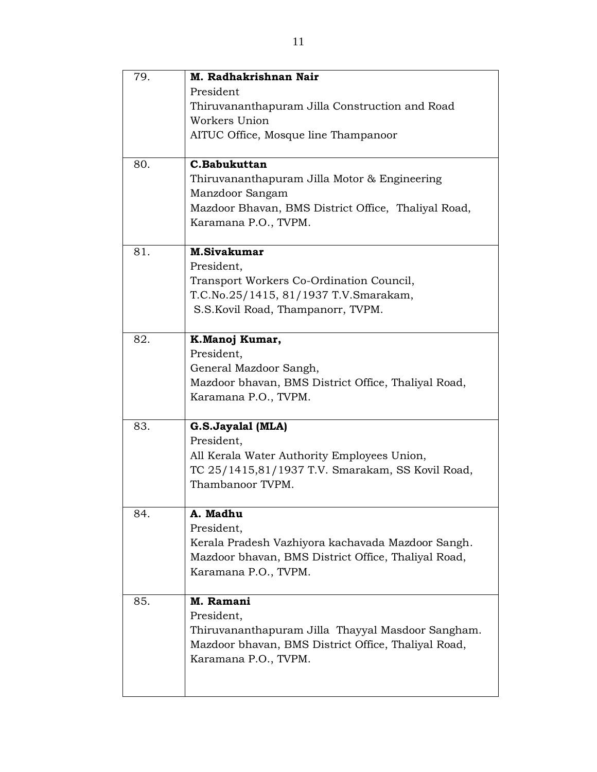| 79. | M. Radhakrishnan Nair                               |
|-----|-----------------------------------------------------|
|     | President                                           |
|     | Thiruvananthapuram Jilla Construction and Road      |
|     | Workers Union                                       |
|     | AITUC Office, Mosque line Thampanoor                |
|     |                                                     |
| 80. | C.Babukuttan                                        |
|     | Thiruvananthapuram Jilla Motor & Engineering        |
|     | Manzdoor Sangam                                     |
|     | Mazdoor Bhavan, BMS District Office, Thaliyal Road, |
|     | Karamana P.O., TVPM.                                |
|     |                                                     |
| 81. | <b>M.Sivakumar</b>                                  |
|     | President,                                          |
|     | Transport Workers Co-Ordination Council,            |
|     | T.C.No.25/1415, 81/1937 T.V.Smarakam,               |
|     | S.S.Kovil Road, Thampanorr, TVPM.                   |
|     |                                                     |
| 82. | K.Manoj Kumar,                                      |
|     | President,                                          |
|     | General Mazdoor Sangh,                              |
|     | Mazdoor bhavan, BMS District Office, Thaliyal Road, |
|     | Karamana P.O., TVPM.                                |
|     |                                                     |
| 83. | G.S.Jayalal (MLA)                                   |
|     | President,                                          |
|     | All Kerala Water Authority Employees Union,         |
|     | TC 25/1415,81/1937 T.V. Smarakam, SS Kovil Road,    |
|     | Thambanoor TVPM.                                    |
|     |                                                     |
| 84. | A. Madhu                                            |
|     | President,                                          |
|     | Kerala Pradesh Vazhiyora kachavada Mazdoor Sangh.   |
|     | Mazdoor bhavan, BMS District Office, Thaliyal Road, |
|     | Karamana P.O., TVPM.                                |
|     |                                                     |
| 85. | M. Ramani                                           |
|     | President,                                          |
|     | Thiruvananthapuram Jilla Thayyal Masdoor Sangham.   |
|     | Mazdoor bhavan, BMS District Office, Thaliyal Road, |
|     | Karamana P.O., TVPM.                                |
|     |                                                     |
|     |                                                     |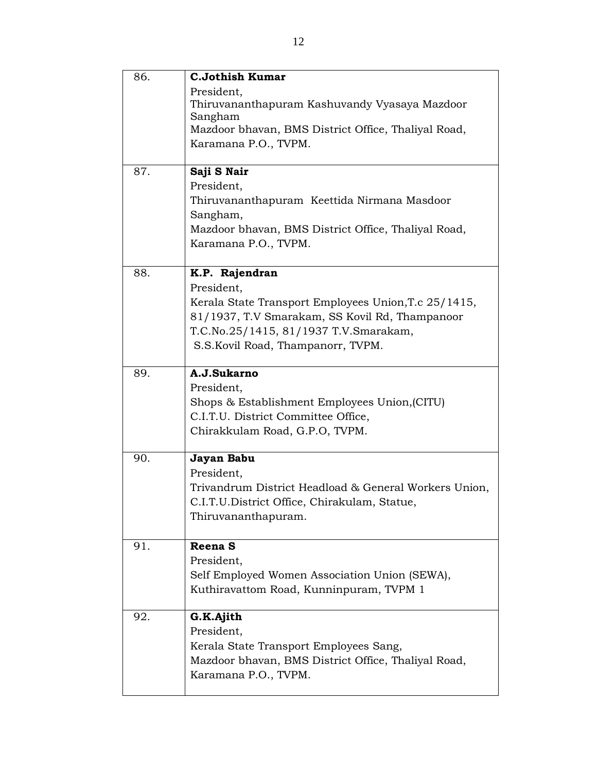| 86. | <b>C.Jothish Kumar</b>                                |
|-----|-------------------------------------------------------|
|     | President,                                            |
|     | Thiruvananthapuram Kashuvandy Vyasaya Mazdoor         |
|     | Sangham                                               |
|     | Mazdoor bhavan, BMS District Office, Thaliyal Road,   |
|     | Karamana P.O., TVPM.                                  |
|     |                                                       |
| 87. | Saji S Nair                                           |
|     | President,                                            |
|     | Thiruvananthapuram Keettida Nirmana Masdoor           |
|     | Sangham,                                              |
|     | Mazdoor bhavan, BMS District Office, Thaliyal Road,   |
|     | Karamana P.O., TVPM.                                  |
|     |                                                       |
| 88. | K.P. Rajendran                                        |
|     | President,                                            |
|     | Kerala State Transport Employees Union, T.c 25/1415,  |
|     | 81/1937, T.V Smarakam, SS Kovil Rd, Thampanoor        |
|     | T.C.No.25/1415, 81/1937 T.V.Smarakam,                 |
|     | S.S.Kovil Road, Thampanorr, TVPM.                     |
|     |                                                       |
| 89. | A.J.Sukarno                                           |
|     | President,                                            |
|     | Shops & Establishment Employees Union, (CITU)         |
|     | C.I.T.U. District Committee Office,                   |
|     | Chirakkulam Road, G.P.O, TVPM.                        |
|     |                                                       |
| 90. | Jayan Babu                                            |
|     | President,                                            |
|     | Trivandrum District Headload & General Workers Union, |
|     | C.I.T.U.District Office, Chirakulam, Statue,          |
|     | Thiruvananthapuram.                                   |
|     |                                                       |
| 91. | Reena <sub>S</sub>                                    |
|     | President,                                            |
|     | Self Employed Women Association Union (SEWA),         |
|     | Kuthiravattom Road, Kunninpuram, TVPM 1               |
|     |                                                       |
| 92. | G.K.Ajith                                             |
|     | President,                                            |
|     | Kerala State Transport Employees Sang,                |
|     | Mazdoor bhavan, BMS District Office, Thaliyal Road,   |
|     | Karamana P.O., TVPM.                                  |
|     |                                                       |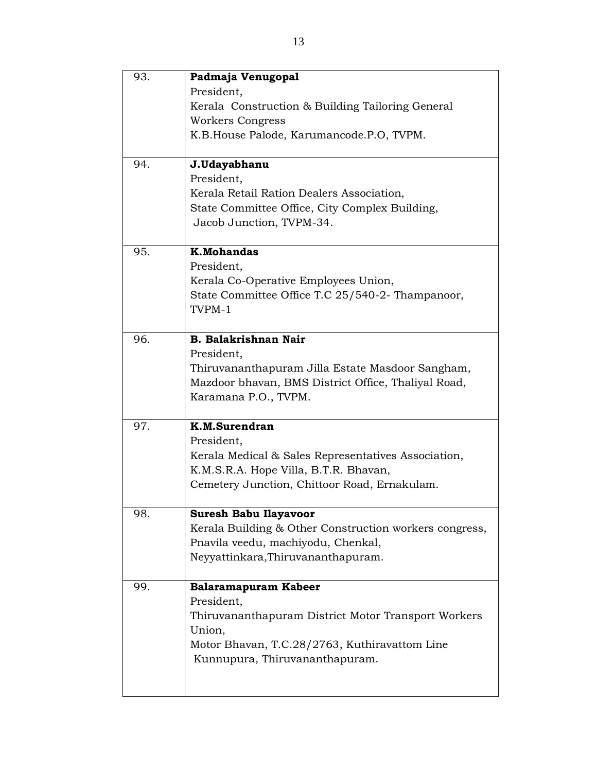| 93. | Padmaja Venugopal                                                                                       |
|-----|---------------------------------------------------------------------------------------------------------|
|     | President,                                                                                              |
|     | Kerala Construction & Building Tailoring General                                                        |
|     | <b>Workers Congress</b>                                                                                 |
|     | K.B. House Palode, Karumancode.P.O, TVPM.                                                               |
|     |                                                                                                         |
| 94. | J.Udayabhanu                                                                                            |
|     | President,                                                                                              |
|     | Kerala Retail Ration Dealers Association,                                                               |
|     | State Committee Office, City Complex Building,                                                          |
|     | Jacob Junction, TVPM-34.                                                                                |
|     |                                                                                                         |
| 95. | <b>K.Mohandas</b>                                                                                       |
|     | President,                                                                                              |
|     | Kerala Co-Operative Employees Union,                                                                    |
|     | State Committee Office T.C 25/540-2- Thampanoor,                                                        |
|     | TVPM-1                                                                                                  |
|     |                                                                                                         |
| 96. | <b>B. Balakrishnan Nair</b>                                                                             |
|     | President,                                                                                              |
|     | Thiruvananthapuram Jilla Estate Masdoor Sangham,<br>Mazdoor bhavan, BMS District Office, Thaliyal Road, |
|     | Karamana P.O., TVPM.                                                                                    |
|     |                                                                                                         |
| 97. | K.M.Surendran                                                                                           |
|     | President,                                                                                              |
|     | Kerala Medical & Sales Representatives Association,                                                     |
|     | K.M.S.R.A. Hope Villa, B.T.R. Bhavan,                                                                   |
|     | Cemetery Junction, Chittoor Road, Ernakulam.                                                            |
|     |                                                                                                         |
| 98. | <b>Suresh Babu Ilayavoor</b>                                                                            |
|     | Kerala Building & Other Construction workers congress,                                                  |
|     | Pnavila veedu, machiyodu, Chenkal,                                                                      |
|     | Neyyattinkara, Thiruvananthapuram.                                                                      |
| 99. |                                                                                                         |
|     | Balaramapuram Kabeer<br>President,                                                                      |
|     | Thiruvananthapuram District Motor Transport Workers                                                     |
|     | Union,                                                                                                  |
|     | Motor Bhavan, T.C.28/2763, Kuthiravattom Line                                                           |
|     | Kunnupura, Thiruvananthapuram.                                                                          |
|     |                                                                                                         |
|     |                                                                                                         |